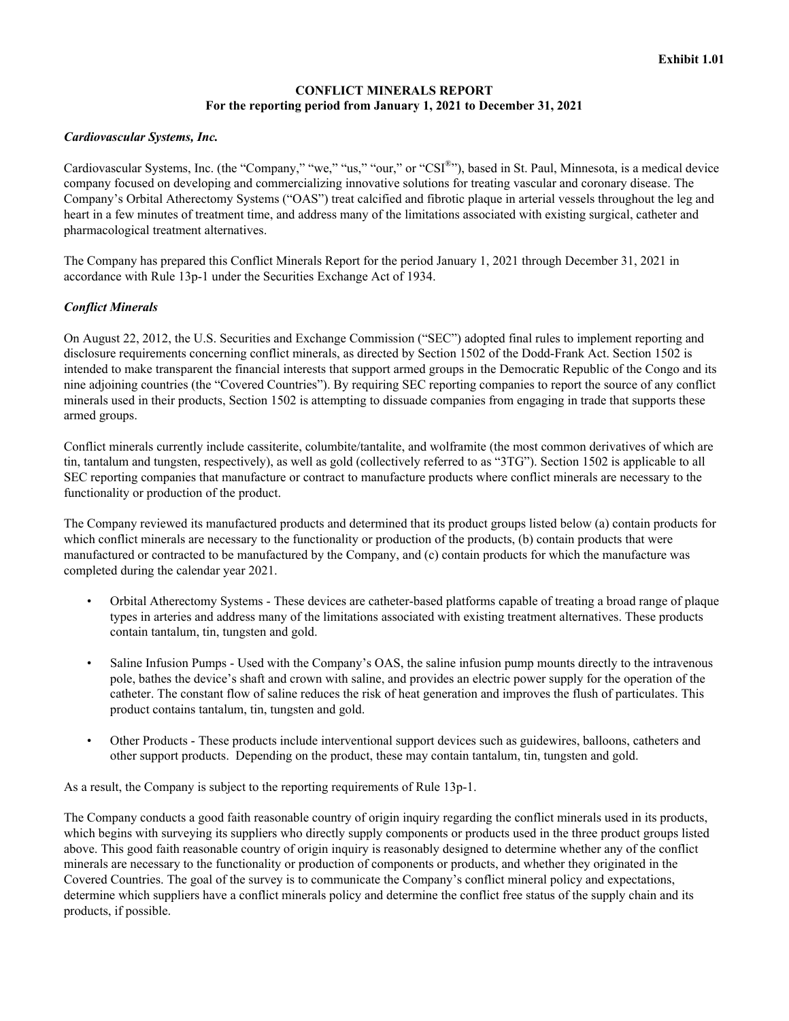# **CONFLICT MINERALS REPORT For the reporting period from January 1, 2021 to December 31, 2021**

#### *Cardiovascular Systems, Inc.*

Cardiovascular Systems, Inc. (the "Company," "we," "us," "our," or "CSI®"), based in St. Paul, Minnesota, is a medical device company focused on developing and commercializing innovative solutions for treating vascular and coronary disease. The Company's Orbital Atherectomy Systems ("OAS") treat calcified and fibrotic plaque in arterial vessels throughout the leg and heart in a few minutes of treatment time, and address many of the limitations associated with existing surgical, catheter and pharmacological treatment alternatives.

The Company has prepared this Conflict Minerals Report for the period January 1, 2021 through December 31, 2021 in accordance with Rule 13p-1 under the Securities Exchange Act of 1934.

### *Conflict Minerals*

On August 22, 2012, the U.S. Securities and Exchange Commission ("SEC") adopted final rules to implement reporting and disclosure requirements concerning conflict minerals, as directed by Section 1502 of the Dodd-Frank Act. Section 1502 is intended to make transparent the financial interests that support armed groups in the Democratic Republic of the Congo and its nine adjoining countries (the "Covered Countries"). By requiring SEC reporting companies to report the source of any conflict minerals used in their products, Section 1502 is attempting to dissuade companies from engaging in trade that supports these armed groups.

Conflict minerals currently include cassiterite, columbite/tantalite, and wolframite (the most common derivatives of which are tin, tantalum and tungsten, respectively), as well as gold (collectively referred to as "3TG"). Section 1502 is applicable to all SEC reporting companies that manufacture or contract to manufacture products where conflict minerals are necessary to the functionality or production of the product.

The Company reviewed its manufactured products and determined that its product groups listed below (a) contain products for which conflict minerals are necessary to the functionality or production of the products, (b) contain products that were manufactured or contracted to be manufactured by the Company, and (c) contain products for which the manufacture was completed during the calendar year 2021.

- Orbital Atherectomy Systems These devices are catheter-based platforms capable of treating a broad range of plaque types in arteries and address many of the limitations associated with existing treatment alternatives. These products contain tantalum, tin, tungsten and gold.
- Saline Infusion Pumps Used with the Company's OAS, the saline infusion pump mounts directly to the intravenous pole, bathes the device's shaft and crown with saline, and provides an electric power supply for the operation of the catheter. The constant flow of saline reduces the risk of heat generation and improves the flush of particulates. This product contains tantalum, tin, tungsten and gold.
- Other Products These products include interventional support devices such as guidewires, balloons, catheters and other support products. Depending on the product, these may contain tantalum, tin, tungsten and gold.

As a result, the Company is subject to the reporting requirements of Rule 13p-1.

The Company conducts a good faith reasonable country of origin inquiry regarding the conflict minerals used in its products, which begins with surveying its suppliers who directly supply components or products used in the three product groups listed above. This good faith reasonable country of origin inquiry is reasonably designed to determine whether any of the conflict minerals are necessary to the functionality or production of components or products, and whether they originated in the Covered Countries. The goal of the survey is to communicate the Company's conflict mineral policy and expectations, determine which suppliers have a conflict minerals policy and determine the conflict free status of the supply chain and its products, if possible.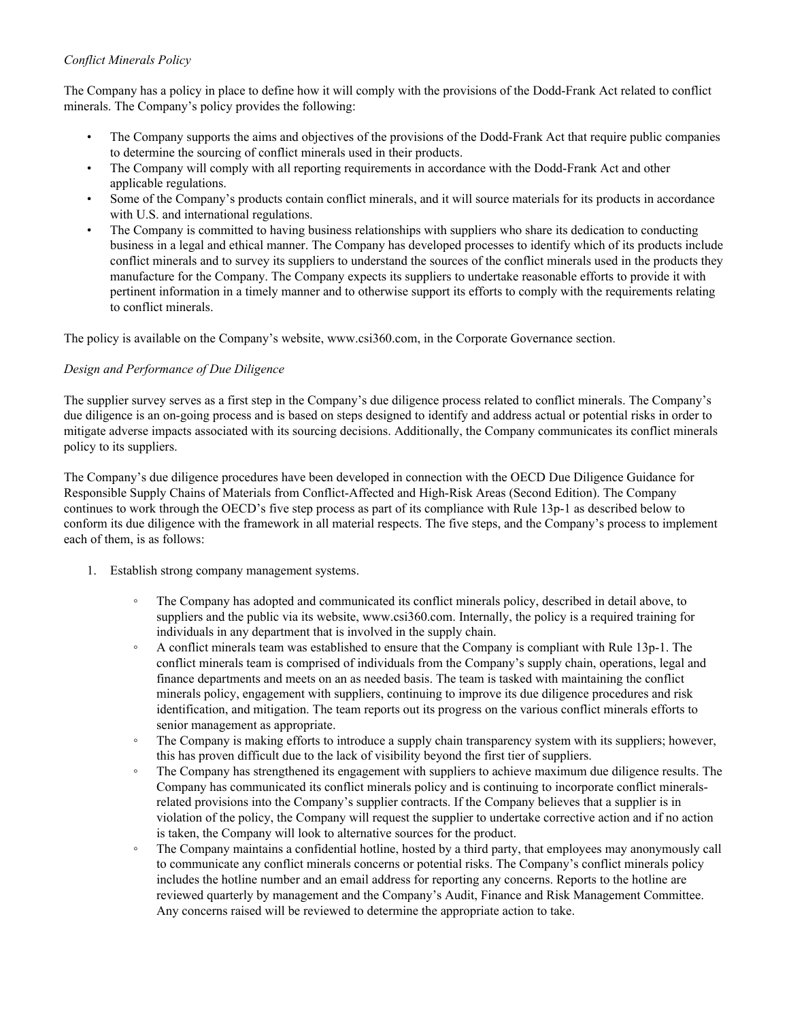# *Conflict Minerals Policy*

The Company has a policy in place to define how it will comply with the provisions of the Dodd-Frank Act related to conflict minerals. The Company's policy provides the following:

- The Company supports the aims and objectives of the provisions of the Dodd-Frank Act that require public companies to determine the sourcing of conflict minerals used in their products.
- The Company will comply with all reporting requirements in accordance with the Dodd-Frank Act and other applicable regulations.
- Some of the Company's products contain conflict minerals, and it will source materials for its products in accordance with U.S. and international regulations.
- The Company is committed to having business relationships with suppliers who share its dedication to conducting business in a legal and ethical manner. The Company has developed processes to identify which of its products include conflict minerals and to survey its suppliers to understand the sources of the conflict minerals used in the products they manufacture for the Company. The Company expects its suppliers to undertake reasonable efforts to provide it with pertinent information in a timely manner and to otherwise support its efforts to comply with the requirements relating to conflict minerals.

The policy is available on the Company's website, www.csi360.com, in the Corporate Governance section.

# *Design and Performance of Due Diligence*

The supplier survey serves as a first step in the Company's due diligence process related to conflict minerals. The Company's due diligence is an on-going process and is based on steps designed to identify and address actual or potential risks in order to mitigate adverse impacts associated with its sourcing decisions. Additionally, the Company communicates its conflict minerals policy to its suppliers.

The Company's due diligence procedures have been developed in connection with the OECD Due Diligence Guidance for Responsible Supply Chains of Materials from Conflict-Affected and High-Risk Areas (Second Edition). The Company continues to work through the OECD's five step process as part of its compliance with Rule 13p-1 as described below to conform its due diligence with the framework in all material respects. The five steps, and the Company's process to implement each of them, is as follows:

- 1. Establish strong company management systems.
	- The Company has adopted and communicated its conflict minerals policy, described in detail above, to suppliers and the public via its website, www.csi360.com. Internally, the policy is a required training for individuals in any department that is involved in the supply chain.
	- A conflict minerals team was established to ensure that the Company is compliant with Rule 13p-1. The conflict minerals team is comprised of individuals from the Company's supply chain, operations, legal and finance departments and meets on an as needed basis. The team is tasked with maintaining the conflict minerals policy, engagement with suppliers, continuing to improve its due diligence procedures and risk identification, and mitigation. The team reports out its progress on the various conflict minerals efforts to senior management as appropriate.
	- The Company is making efforts to introduce a supply chain transparency system with its suppliers; however, this has proven difficult due to the lack of visibility beyond the first tier of suppliers.
	- The Company has strengthened its engagement with suppliers to achieve maximum due diligence results. The Company has communicated its conflict minerals policy and is continuing to incorporate conflict mineralsrelated provisions into the Company's supplier contracts. If the Company believes that a supplier is in violation of the policy, the Company will request the supplier to undertake corrective action and if no action is taken, the Company will look to alternative sources for the product.
	- The Company maintains a confidential hotline, hosted by a third party, that employees may anonymously call to communicate any conflict minerals concerns or potential risks. The Company's conflict minerals policy includes the hotline number and an email address for reporting any concerns. Reports to the hotline are reviewed quarterly by management and the Company's Audit, Finance and Risk Management Committee. Any concerns raised will be reviewed to determine the appropriate action to take.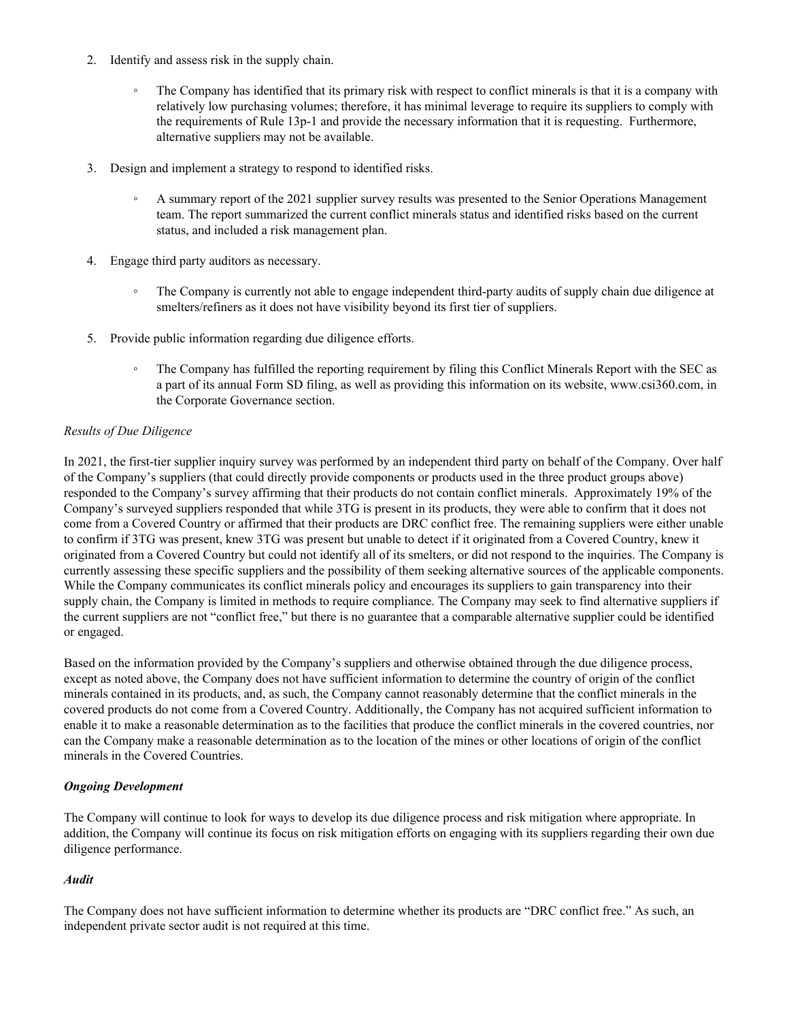- 2. Identify and assess risk in the supply chain.
	- The Company has identified that its primary risk with respect to conflict minerals is that it is a company with relatively low purchasing volumes; therefore, it has minimal leverage to require its suppliers to comply with the requirements of Rule 13p-1 and provide the necessary information that it is requesting. Furthermore, alternative suppliers may not be available.
- 3. Design and implement a strategy to respond to identified risks.
	- A summary report of the 2021 supplier survey results was presented to the Senior Operations Management team. The report summarized the current conflict minerals status and identified risks based on the current status, and included a risk management plan.
- 4. Engage third party auditors as necessary.
	- The Company is currently not able to engage independent third-party audits of supply chain due diligence at smelters/refiners as it does not have visibility beyond its first tier of suppliers.
- 5. Provide public information regarding due diligence efforts.
	- The Company has fulfilled the reporting requirement by filing this Conflict Minerals Report with the SEC as a part of its annual Form SD filing, as well as providing this information on its website, www.csi360.com, in the Corporate Governance section.

### *Results of Due Diligence*

In 2021, the first-tier supplier inquiry survey was performed by an independent third party on behalf of the Company. Over half of the Company's suppliers (that could directly provide components or products used in the three product groups above) responded to the Company's survey affirming that their products do not contain conflict minerals. Approximately 19% of the Company's surveyed suppliers responded that while 3TG is present in its products, they were able to confirm that it does not come from a Covered Country or affirmed that their products are DRC conflict free. The remaining suppliers were either unable to confirm if 3TG was present, knew 3TG was present but unable to detect if it originated from a Covered Country, knew it originated from a Covered Country but could not identify all of its smelters, or did not respond to the inquiries. The Company is currently assessing these specific suppliers and the possibility of them seeking alternative sources of the applicable components. While the Company communicates its conflict minerals policy and encourages its suppliers to gain transparency into their supply chain, the Company is limited in methods to require compliance. The Company may seek to find alternative suppliers if the current suppliers are not "conflict free," but there is no guarantee that a comparable alternative supplier could be identified or engaged.

Based on the information provided by the Company's suppliers and otherwise obtained through the due diligence process, except as noted above, the Company does not have sufficient information to determine the country of origin of the conflict minerals contained in its products, and, as such, the Company cannot reasonably determine that the conflict minerals in the covered products do not come from a Covered Country. Additionally, the Company has not acquired sufficient information to enable it to make a reasonable determination as to the facilities that produce the conflict minerals in the covered countries, nor can the Company make a reasonable determination as to the location of the mines or other locations of origin of the conflict minerals in the Covered Countries.

## *Ongoing Development*

The Company will continue to look for ways to develop its due diligence process and risk mitigation where appropriate. In addition, the Company will continue its focus on risk mitigation efforts on engaging with its suppliers regarding their own due diligence performance.

## *Audit*

The Company does not have sufficient information to determine whether its products are "DRC conflict free." As such, an independent private sector audit is not required at this time.